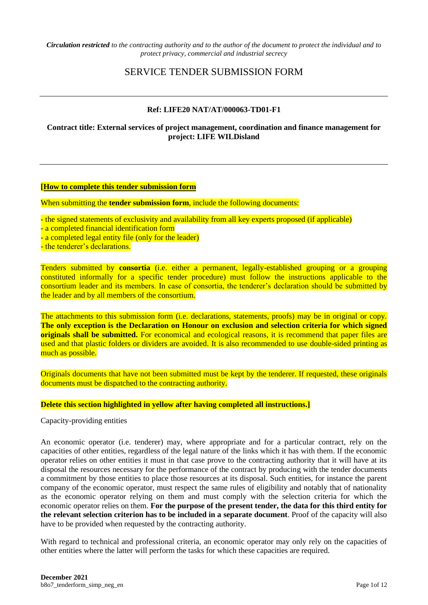*Circulation restricted to the contracting authority and to the author of the document to protect the individual and to protect privacy, commercial and industrial secrecy* 

# SERVICE TENDER SUBMISSION FORM

#### **Ref: LIFE20 NAT/AT/000063-TD01-F1**

#### **Contract title: External services of project management, coordination and finance management for project: LIFE WILDisland**

#### **[How to complete this tender submission form**

When submitting the **tender submission form**, include the following documents:

- the signed statements of exclusivity and availability from all key experts proposed (if applicable) - a completed financial identification form - a completed legal entity file (only for the leader) - the tenderer's declarations.

Tenders submitted by **consortia** (i.e. either a permanent, legally-established grouping or a grouping constituted informally for a specific tender procedure) must follow the instructions applicable to the consortium leader and its members. In case of consortia, the tenderer's declaration should be submitted by the leader and by all members of the consortium.

The attachments to this submission form (i.e. declarations, statements, proofs) may be in original or copy. **The only exception is the Declaration on Honour on exclusion and selection criteria for which signed originals shall be submitted.** For economical and ecological reasons, it is recommend that paper files are used and that plastic folders or dividers are avoided. It is also recommended to use double-sided printing as much as possible.

Originals documents that have not been submitted must be kept by the tenderer. If requested, these originals documents must be dispatched to the contracting authority.

#### **Delete this section highlighted in yellow after having completed all instructions.]**

Capacity-providing entities

An economic operator (i.e. tenderer) may, where appropriate and for a particular contract, rely on the capacities of other entities, regardless of the legal nature of the links which it has with them. If the economic operator relies on other entities it must in that case prove to the contracting authority that it will have at its disposal the resources necessary for the performance of the contract by producing with the tender documents a commitment by those entities to place those resources at its disposal. Such entities, for instance the parent company of the economic operator, must respect the same rules of eligibility and notably that of nationality as the economic operator relying on them and must comply with the selection criteria for which the economic operator relies on them. **For the purpose of the present tender, the data for this third entity for the relevant selection criterion has to be included in a separate document**. Proof of the capacity will also have to be provided when requested by the contracting authority.

With regard to technical and professional criteria, an economic operator may only rely on the capacities of other entities where the latter will perform the tasks for which these capacities are required.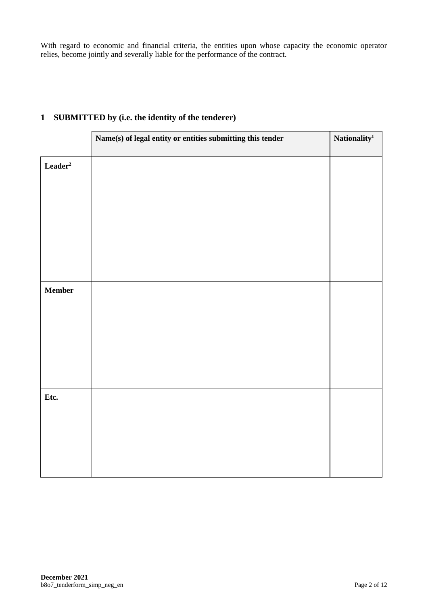With regard to economic and financial criteria, the entities upon whose capacity the economic operator relies, become jointly and severally liable for the performance of the contract.

|                                 | Name(s) of legal entity or entities submitting this tender | Nationality <sup>1</sup> |
|---------------------------------|------------------------------------------------------------|--------------------------|
| $\mathbf{Leader}^2$             |                                                            |                          |
|                                 |                                                            |                          |
|                                 |                                                            |                          |
|                                 |                                                            |                          |
|                                 |                                                            |                          |
| $\label{eq:em} \textbf{Member}$ |                                                            |                          |
|                                 |                                                            |                          |
|                                 |                                                            |                          |
|                                 |                                                            |                          |
|                                 |                                                            |                          |
| Etc.                            |                                                            |                          |
|                                 |                                                            |                          |
|                                 |                                                            |                          |
|                                 |                                                            |                          |

# **1 SUBMITTED by (i.e. the identity of the tenderer)**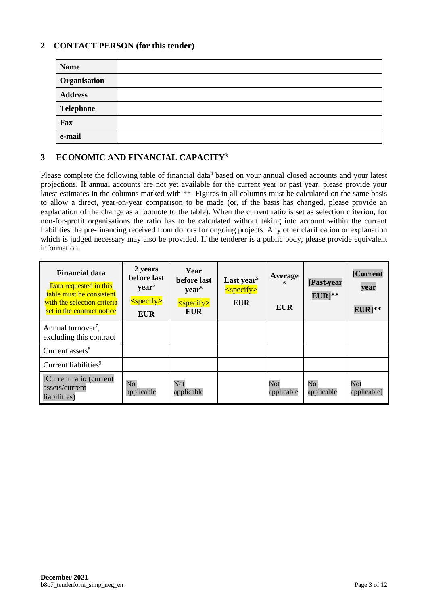## **2 CONTACT PERSON (for this tender)**

| <b>Name</b>      |  |
|------------------|--|
| Organisation     |  |
| <b>Address</b>   |  |
| <b>Telephone</b> |  |
| Fax              |  |
| e-mail           |  |

## **3 ECONOMIC AND FINANCIAL CAPACITY<sup>3</sup>**

Please complete the following table of financial data<sup>4</sup> based on your annual closed accounts and your latest projections. If annual accounts are not yet available for the current year or past year, please provide your latest estimates in the columns marked with \*\*. Figures in all columns must be calculated on the same basis to allow a direct, year-on-year comparison to be made (or, if the basis has changed, please provide an explanation of the change as a footnote to the table). When the current ratio is set as selection criterion, for non-for-profit organisations the ratio has to be calculated without taking into account within the current liabilities the pre-financing received from donors for ongoing projects. Any other clarification or explanation which is judged necessary may also be provided. If the tenderer is a public body, please provide equivalent information.

| <b>Financial data</b><br>Data requested in this<br>table must be consistent<br>with the selection criteria<br>set in the contract notice | 2 years<br>before last<br>$\mathbf{year}^5$<br>$<$ specify $>$<br><b>EUR</b> | Year<br>before last<br>year <sup>5</sup><br>$<$ specify><br>EUR | Last year <sup>5</sup><br>$<$ specify $>$<br><b>EUR</b> | Average<br>6<br><b>EUR</b> | [Past-year<br>$EUR$ <sup>**</sup> | <b>[Current</b><br>year<br>$EUR$ <sup>**</sup> |
|------------------------------------------------------------------------------------------------------------------------------------------|------------------------------------------------------------------------------|-----------------------------------------------------------------|---------------------------------------------------------|----------------------------|-----------------------------------|------------------------------------------------|
| Annual turnover <sup>7</sup> ,<br>excluding this contract                                                                                |                                                                              |                                                                 |                                                         |                            |                                   |                                                |
| Current assets <sup>8</sup>                                                                                                              |                                                                              |                                                                 |                                                         |                            |                                   |                                                |
| Current liabilities <sup>9</sup>                                                                                                         |                                                                              |                                                                 |                                                         |                            |                                   |                                                |
| [Current ratio (current<br>assets/current<br>liabilities)                                                                                | Not<br>applicable                                                            | Not<br>applicable                                               |                                                         | Not<br>applicable          | Not<br>applicable                 | Not<br>applicable]                             |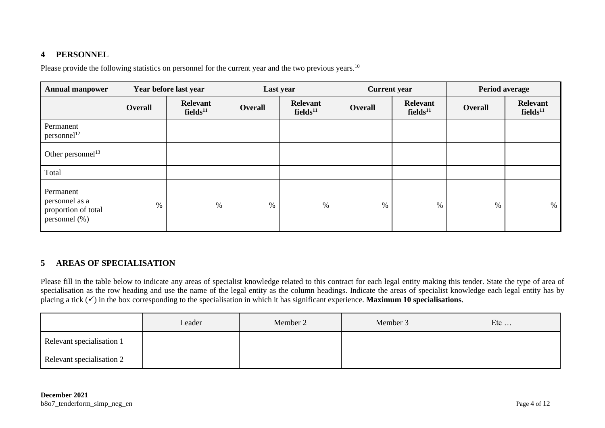## **4 PERSONNEL**

Please provide the following statistics on personnel for the current year and the two previous years.<sup>10</sup>

| <b>Annual manpower</b>                                              | Year before last year |                                  |                | Last year                               | <b>Current</b> year |                                         | <b>Period average</b> |                                         |
|---------------------------------------------------------------------|-----------------------|----------------------------------|----------------|-----------------------------------------|---------------------|-----------------------------------------|-----------------------|-----------------------------------------|
|                                                                     | <b>Overall</b>        | Relevant<br>fields <sup>11</sup> | <b>Overall</b> | <b>Relevant</b><br>fields <sup>11</sup> | <b>Overall</b>      | <b>Relevant</b><br>fields <sup>11</sup> | <b>Overall</b>        | <b>Relevant</b><br>fields <sup>11</sup> |
| Permanent<br>personnel <sup>12</sup>                                |                       |                                  |                |                                         |                     |                                         |                       |                                         |
| Other personnel <sup>13</sup>                                       |                       |                                  |                |                                         |                     |                                         |                       |                                         |
| Total                                                               |                       |                                  |                |                                         |                     |                                         |                       |                                         |
| Permanent<br>personnel as a<br>proportion of total<br>personnel (%) | $\%$                  | $\%$                             | $\%$           | %                                       | $\%$                | $\%$                                    | $\%$                  | %                                       |

## **5 AREAS OF SPECIALISATION**

Please fill in the table below to indicate any areas of specialist knowledge related to this contract for each legal entity making this tender. State the type of area of specialisation as the row heading and use the name of the legal entity as the column headings. Indicate the areas of specialist knowledge each legal entity has by placing a tick (✓) in the box corresponding to the specialisation in which it has significant experience. **Maximum 10 specialisations**.

|                           | Leader | Member 2 | Member 3 | Etc |
|---------------------------|--------|----------|----------|-----|
| Relevant specialisation 1 |        |          |          |     |
| Relevant specialisation 2 |        |          |          |     |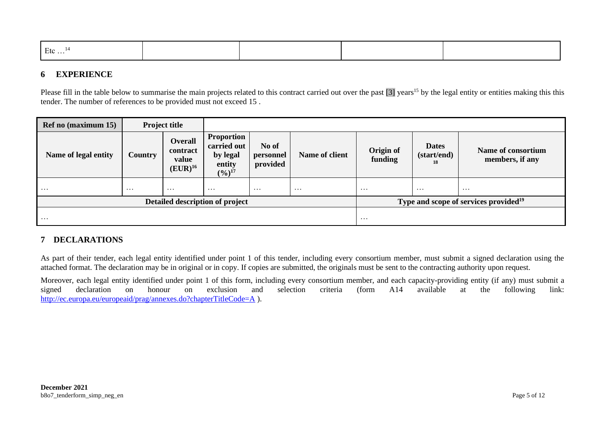| Etc |  |  |
|-----|--|--|
|     |  |  |
|     |  |  |
|     |  |  |

## **6 EXPERIENCE**

Please fill in the table below to summarise the main projects related to this contract carried out over the past  $\overline{3}$  years<sup>15</sup> by the legal entity or entities making this this tender. The number of references to be provided must not exceed 15 .

| Ref no (maximum 15)             |          |                                                     |                                                                                 |                                |                |                                                   |                                   |                                       |
|---------------------------------|----------|-----------------------------------------------------|---------------------------------------------------------------------------------|--------------------------------|----------------|---------------------------------------------------|-----------------------------------|---------------------------------------|
| Name of legal entity            | Country  | <b>Overall</b><br>contract<br>value<br>$(EUR)^{16}$ | <b>Proportion</b><br>carried out<br>by legal<br>entity<br>$(\frac{6}{17})^{17}$ | No of<br>personnel<br>provided | Name of client | Origin of<br>funding                              | <b>Dates</b><br>(start/end)<br>18 | Name of consortium<br>members, if any |
| $\cdots$                        | $\cdots$ | $\cdots$                                            | $\cdots$                                                                        | $\cdots$                       | $\cdots$       | $\cdots$                                          | $\cdots$                          | $\cdots$                              |
| Detailed description of project |          |                                                     |                                                                                 |                                |                | Type and scope of services provided <sup>19</sup> |                                   |                                       |
| .                               |          |                                                     |                                                                                 |                                |                | $\cdots$                                          |                                   |                                       |

## **7 DECLARATIONS**

As part of their tender, each legal entity identified under point 1 of this tender, including every consortium member, must submit a signed declaration using the attached format. The declaration may be in original or in copy. If copies are submitted, the originals must be sent to the contracting authority upon request.

Moreover, each legal entity identified under point 1 of this form, including every consortium member, and each capacity-providing entity (if any) must submit a signed declaration on honour on exclusion and selection criter signed declaration on honour on exclusion and selection criteria (form A14 available at the following link: <http://ec.europa.eu/europeaid/prag/annexes.do?chapterTitleCode=A> ).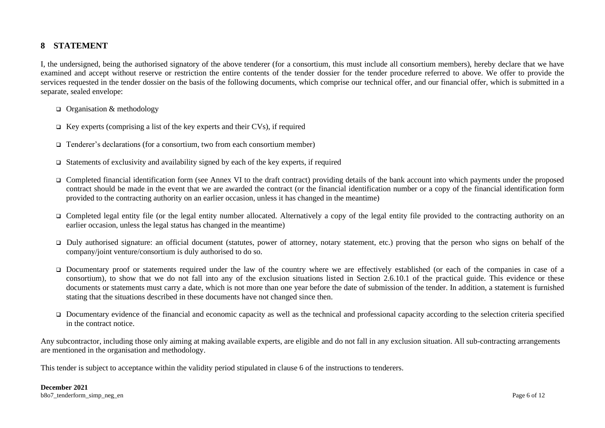## **8 STATEMENT**

I, the undersigned, being the authorised signatory of the above tenderer (for a consortium, this must include all consortium members), hereby declare that we have examined and accept without reserve or restriction the entire contents of the tender dossier for the tender procedure referred to above. We offer to provide the services requested in the tender dossier on the basis of the following documents, which comprise our technical offer, and our financial offer, which is submitted in a separate, sealed envelope:

- ❑ Organisation & methodology
- $\Box$  Key experts (comprising a list of the key experts and their CVs), if required
- ❑ Tenderer's declarations (for a consortium, two from each consortium member)
- ❑ Statements of exclusivity and availability signed by each of the key experts, if required
- ❑ Completed financial identification form (see Annex VI to the draft contract) providing details of the bank account into which payments under the proposed contract should be made in the event that we are awarded the contract (or the financial identification number or a copy of the financial identification form provided to the contracting authority on an earlier occasion, unless it has changed in the meantime)
- ❑ Completed legal entity file (or the legal entity number allocated. Alternatively a copy of the legal entity file provided to the contracting authority on an earlier occasion, unless the legal status has changed in the meantime)
- ❑ Duly authorised signature: an official document (statutes, power of attorney, notary statement, etc.) proving that the person who signs on behalf of the company/joint venture/consortium is duly authorised to do so.
- ❑ Documentary proof or statements required under the law of the country where we are effectively established (or each of the companies in case of a consortium), to show that we do not fall into any of the exclusion situations listed in Section 2.6.10.1 of the practical guide. This evidence or these documents or statements must carry a date, which is not more than one year before the date of submission of the tender. In addition, a statement is furnished stating that the situations described in these documents have not changed since then.
- □ Documentary evidence of the financial and economic capacity as well as the technical and professional capacity according to the selection criteria specified in the contract notice.

Any subcontractor, including those only aiming at making available experts, are eligible and do not fall in any exclusion situation. All sub-contracting arrangements are mentioned in the organisation and methodology.

This tender is subject to acceptance within the validity period stipulated in clause 6 of the instructions to tenderers.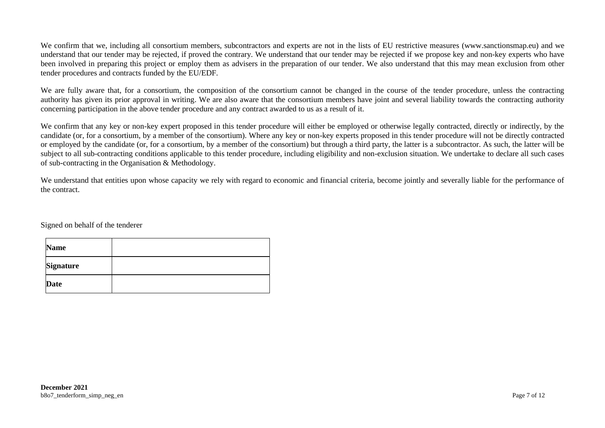We confirm that we, including all consortium members, subcontractors and experts are not in the lists of EU restrictive measures [\(www.sanctionsmap.eu\)](http://www.sanctionsmap.eu/) and we understand that our tender may be rejected, if proved the contrary. We understand that our tender may be rejected if we propose key and non-key experts who have been involved in preparing this project or employ them as advisers in the preparation of our tender. We also understand that this may mean exclusion from other tender procedures and contracts funded by the EU/EDF.

We are fully aware that, for a consortium, the composition of the consortium cannot be changed in the course of the tender procedure, unless the contracting authority has given its prior approval in writing. We are also aware that the consortium members have joint and several liability towards the contracting authority concerning participation in the above tender procedure and any contract awarded to us as a result of it.

We confirm that any key or non-key expert proposed in this tender procedure will either be employed or otherwise legally contracted, directly or indirectly, by the candidate (or, for a consortium, by a member of the consortium). Where any key or non-key experts proposed in this tender procedure will not be directly contracted or employed by the candidate (or, for a consortium, by a member of the consortium) but through a third party, the latter is a subcontractor. As such, the latter will be subject to all sub-contracting conditions applicable to this tender procedure, including eligibility and non-exclusion situation. We undertake to declare all such cases of sub-contracting in the Organisation & Methodology.

We understand that entities upon whose capacity we rely with regard to economic and financial criteria, become jointly and severally liable for the performance of the contract.

Signed on behalf of the tenderer

| <b>Name</b>      |  |
|------------------|--|
| <b>Signature</b> |  |
| <b>Date</b>      |  |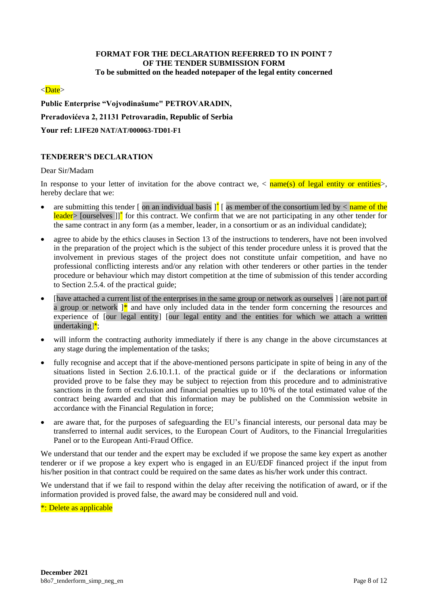#### **FORMAT FOR THE DECLARATION REFERRED TO IN POINT 7 OF THE TENDER SUBMISSION FORM To be submitted on the headed notepaper of the legal entity concerned**

#### <Date>

#### **Public Enterprise "Vojvodinašume" PETROVARADIN,**

#### **Preradovićeva 2, 21131 Petrovaradin, Republic of Serbia**

**Your ref: LIFE20 NAT/AT/000063-TD01-F1**

#### **TENDERER'S DECLARATION**

#### Dear Sir/Madam

In response to your letter of invitation for the above contract we,  $\langle$  name(s) of legal entity or entities. hereby declare that we:

- are submitting this tender [ on an individual basis  $\int_{a}^{b}$  [ as member of the consortium led by  $\lt$  name of the leader> [ourselves]]<sup>\*</sup> for this contract. We confirm that we are not participating in any other tender for the same contract in any form (as a member, leader, in a consortium or as an individual candidate);
- agree to abide by the ethics clauses in Section 13 of the instructions to tenderers, have not been involved in the preparation of the project which is the subject of this tender procedure unless it is proved that the involvement in previous stages of the project does not constitute unfair competition, and have no professional conflicting interests and/or any relation with other tenderers or other parties in the tender procedure or behaviour which may distort competition at the time of submission of this tender according to Section 2.5.4. of the practical guide;
- [have attached a current list of the enterprises in the same group or network as ourselves ] [are not part of a group or network  $]^{*}$  and have only included data in the tender form concerning the resources and experience of [our legal entity] [our legal entity and the entities for which we attach a written undertaking] $\frac{\cdot}{\cdot}$ ;
- will inform the contracting authority immediately if there is any change in the above circumstances at any stage during the implementation of the tasks;
- fully recognise and accept that if the above-mentioned persons participate in spite of being in any of the situations listed in Section 2.6.10.1.1. of the practical guide or if the declarations or information provided prove to be false they may be subject to rejection from this procedure and to administrative sanctions in the form of exclusion and financial penalties up to 10% of the total estimated value of the contract being awarded and that this information may be published on the Commission website in accordance with the Financial Regulation in force;
- are aware that, for the purposes of safeguarding the EU's financial interests, our personal data may be transferred to internal audit services, to the European Court of Auditors, to the Financial Irregularities Panel or to the European Anti-Fraud Office.

We understand that our tender and the expert may be excluded if we propose the same key expert as another tenderer or if we propose a key expert who is engaged in an EU/EDF financed project if the input from his/her position in that contract could be required on the same dates as his/her work under this contract.

We understand that if we fail to respond within the delay after receiving the notification of award, or if the information provided is proved false, the award may be considered null and void.

\*: Delete as applicable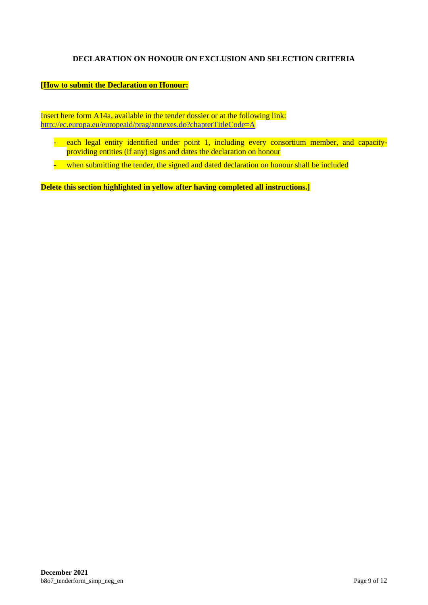## **DECLARATION ON HONOUR ON EXCLUSION AND SELECTION CRITERIA**

#### **[How to submit the Declaration on Honour:**

Insert here form A14a, available in the tender dossier or at the following link: <http://ec.europa.eu/europeaid/prag/annexes.do?chapterTitleCode=A>

- each legal entity identified under point 1, including every consortium member, and capacityproviding entities (if any) signs and dates the declaration on honour
- when submitting the tender, the signed and dated declaration on honour shall be included

**Delete this section highlighted in yellow after having completed all instructions.]**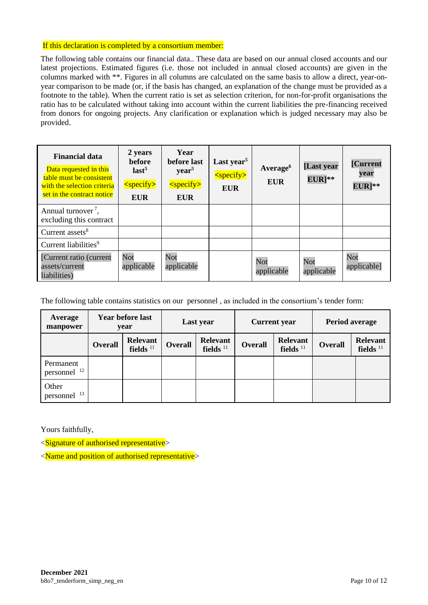#### If this declaration is completed by a consortium member:

The following table contains our financial data.. These data are based on our annual closed accounts and our latest projections. Estimated figures (i.e. those not included in annual closed accounts) are given in the columns marked with \*\*. Figures in all columns are calculated on the same basis to allow a direct, year-onyear comparison to be made (or, if the basis has changed, an explanation of the change must be provided as a footnote to the table). When the current ratio is set as selection criterion, for non-for-profit organisations the ratio has to be calculated without taking into account within the current liabilities the pre-financing received from donors for ongoing projects. Any clarification or explanation which is judged necessary may also be provided.

| <b>Financial data</b><br>Data requested in this<br>table must be consistent<br>with the selection criteria<br>set in the contract notice | 2 years<br><b>before</b><br>last <sup>5</sup><br>$<$ specify $>$<br><b>EUR</b> | Year<br>before last<br>year <sup>5</sup><br><specify><br/>EUR</specify> | Last year <sup>5</sup><br>$<$ specify $>$<br><b>EUR</b> | Average <sup>6</sup><br><b>EUR</b> | [Last year<br>$EUR$ <sup>**</sup> | [Current<br>year<br>$EUR]^{**}$ |
|------------------------------------------------------------------------------------------------------------------------------------------|--------------------------------------------------------------------------------|-------------------------------------------------------------------------|---------------------------------------------------------|------------------------------------|-----------------------------------|---------------------------------|
| Annual turnover <sup>7</sup> ,<br>excluding this contract                                                                                |                                                                                |                                                                         |                                                         |                                    |                                   |                                 |
| Current assets <sup>8</sup>                                                                                                              |                                                                                |                                                                         |                                                         |                                    |                                   |                                 |
| Current liabilities <sup>9</sup>                                                                                                         |                                                                                |                                                                         |                                                         |                                    |                                   |                                 |
| [Current ratio (current<br>assets/current<br>liabilities)                                                                                | Not<br>applicable                                                              | Not<br>applicable                                                       |                                                         | Not<br>applicable                  | Not<br>applicable                 | Not<br>applicable]              |

The following table contains statistics on our personnel , as included in the consortium's tender form:

| Average<br>manpower                  | <b>Year before last</b><br>year |                                | Last year      |                                | <b>Current</b> year |                                | <b>Period average</b> |                                |
|--------------------------------------|---------------------------------|--------------------------------|----------------|--------------------------------|---------------------|--------------------------------|-----------------------|--------------------------------|
|                                      | <b>Overall</b>                  | <b>Relevant</b><br>fields $11$ | <b>Overall</b> | <b>Relevant</b><br>fields $11$ | <b>Overall</b>      | <b>Relevant</b><br>fields $11$ | <b>Overall</b>        | <b>Relevant</b><br>fields $11$ |
| Permanent<br>personnel <sup>12</sup> |                                 |                                |                |                                |                     |                                |                       |                                |
| Other<br>personnel <sup>13</sup>     |                                 |                                |                |                                |                     |                                |                       |                                |

Yours faithfully,

<Signature of authorised representative>

<Name and position of authorised representative>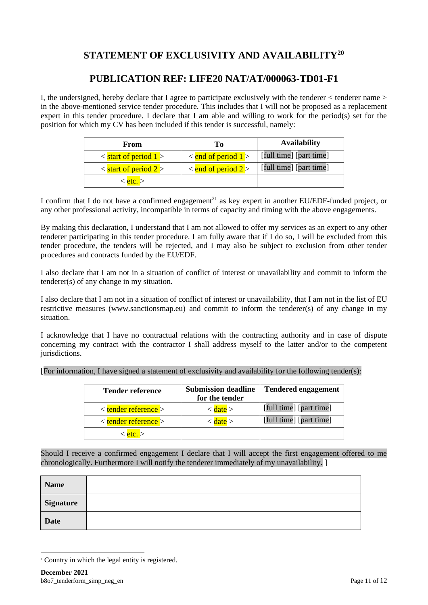# **STATEMENT OF EXCLUSIVITY AND AVAILABILITY<sup>20</sup>**

# **PUBLICATION REF: LIFE20 NAT/AT/000063-TD01-F1**

I, the undersigned, hereby declare that I agree to participate exclusively with the tenderer < tenderer name > in the above-mentioned service tender procedure. This includes that I will not be proposed as a replacement expert in this tender procedure. I declare that I am able and willing to work for the period(s) set for the position for which my CV has been included if this tender is successful, namely:

| From                                  | Tо                                | <b>Availability</b>     |  |  |
|---------------------------------------|-----------------------------------|-------------------------|--|--|
| $\frac{1}{2}$ < start of period 1 >   | $\frac{1}{2}$ < end of period 1   | [full time] [part time] |  |  |
| $\frac{1}{2}$ < start of period 2 $>$ | $\frac{1}{2}$ < end of period 2 > | [full time] [part time] |  |  |
| $<$ etc. $>$                          |                                   |                         |  |  |

I confirm that I do not have a confirmed engagement<sup>21</sup> as key expert in another EU/EDF-funded project, or any other professional activity, incompatible in terms of capacity and timing with the above engagements.

By making this declaration, I understand that I am not allowed to offer my services as an expert to any other tenderer participating in this tender procedure. I am fully aware that if I do so, I will be excluded from this tender procedure, the tenders will be rejected, and I may also be subject to exclusion from other tender procedures and contracts funded by the EU/EDF.

I also declare that I am not in a situation of conflict of interest or unavailability and commit to inform the tenderer(s) of any change in my situation.

I also declare that I am not in a situation of conflict of interest or unavailability, that I am not in the list of EU restrictive measures [\(www.sanctionsmap.eu\)](http://www.sanctionsmap.eu/) and commit to inform the tenderer(s) of any change in my situation.

I acknowledge that I have no contractual relations with the contracting authority and in case of dispute concerning my contract with the contractor I shall address myself to the latter and/or to the competent jurisdictions.

| [For information, I have signed a statement of exclusivity and availability for the following tender(s): |  |  |  |
|----------------------------------------------------------------------------------------------------------|--|--|--|
|                                                                                                          |  |  |  |
|                                                                                                          |  |  |  |
|                                                                                                          |  |  |  |

| <b>Tender reference</b>              | <b>Submission deadline</b><br>for the tender | <b>Tendered engagement</b> |
|--------------------------------------|----------------------------------------------|----------------------------|
| $\langle$ tender reference $\rangle$ | $\langle$ date $\rangle$                     | [full time] [part time]    |
| $\langle$ tender reference $\rangle$ | < date >                                     | [full time] [part time]    |
| etc. >                               |                                              |                            |

Should I receive a confirmed engagement I declare that I will accept the first engagement offered to me chronologically. Furthermore I will notify the tenderer immediately of my unavailability. ]

| <b>Name</b>      |  |
|------------------|--|
| <b>Signature</b> |  |
| <b>Date</b>      |  |

<sup>&</sup>lt;sup>1</sup> Country in which the legal entity is registered.